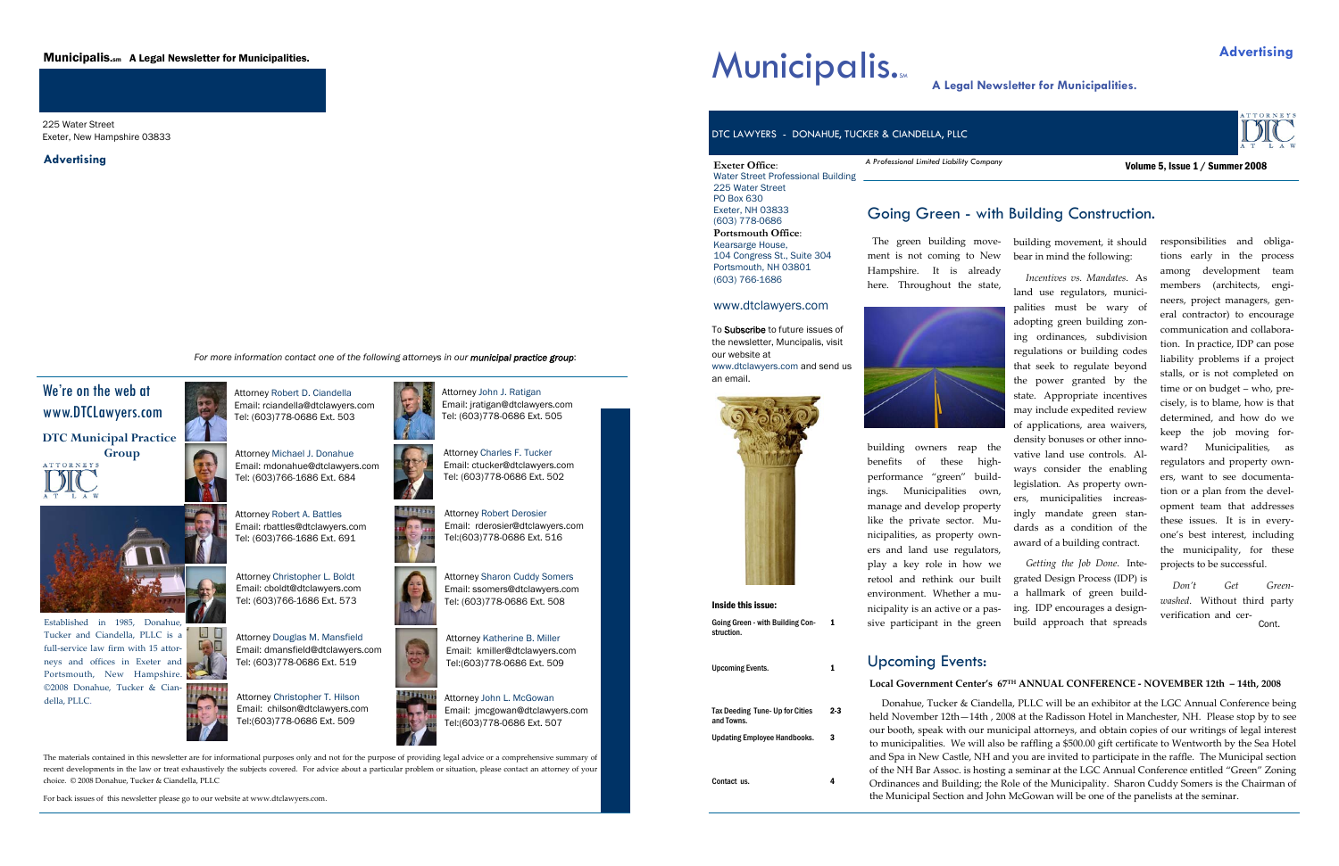The materials contained in this newsletter are for informational purposes only and not for the purpose of providing legal advice or <sup>a</sup> comprehensive summary of recent developments in the law or treat exhaustively the subjects covered. For advice about <sup>a</sup> particular problem or situation, please contact an attorney of your choice. © 2008 Donahue, Tucker & Ciandella, PLLC

For back issues of this newsletter please go to our website at www.dtclawyers.com.



*For more information contact one of the following attorneys in our municipal practice group*:



25

RO

Attorney John J. Ratigan Email: jratigan@dtclawyers.com Tel: (603)778-0686 Ext. 505



**Group**  ATTORNEYS















Attorney Katherine B. Miller Email: kmiller@dtclawyers.com



Tel:(603)778-0686 Ext. 509

## We're on the web at www.DTCLawyers.com **DTC Municipal Practice**

Established in 1985, Donahue, Tucker and Ciandella, PLLC is <sup>a</sup> full‐service law firm with 15 attor‐ neys and offices in Exeter and  $\mathbf{A}$ Portsmouth, New Hampshire. ©2008 Donahue, Tucker & Cian‐ della, PLLC.

225 Water Street Exeter, New Hampshire 03833

## Municipalis.sm A Legal Newsletter for Municipalities.

**Advertising** 

Email: jmcgowan@dtclawyers.com

Attorney John L. McGowan Tel:(603)778-0686 Ext. 507



Email: rderosier@dtclawyers.com

Tel:(603)778-0686 Ext. 516



Attorney Christopher T. Hilson Email: chilson@dtclawyers.com Tel:(603)778-0686 Ext. 509



**Exeter Office**:

PO Box 630 Exeter, NH 03833 (603) 778-0686

Water Street Professional Building 225 Water Street *A Professional Limited Liability Company* 

**Portsmouth Office**: Kearsarge House, 104 Congress St., Suite 304 Portsmouth, NH 03801 (603) 766-1686

## www.dtclawyers.com

The green building move‐ ment is not coming to New Hampshire. It is already here. Throughout the state,



building movement, it should bear in mind the following:

building owners reap the benefits of these high‐ performance "green" build‐ ings. Municipalities own, manage and develop property like the private sector. Mu‐ nicipalities, as property own‐ ers and land use regulators, play <sup>a</sup> key role in how we retool and rethink our built environment. Whether a mu‐ nicipality is an active or <sup>a</sup> pas‐ sive participant in the green vative land use controls. Al‐ ways consider the enabling legislation. As property own‐ ers, municipalities increasingly mandate green standards as a condition of the award of <sup>a</sup> building contract. *Getting the Job Done*. Inte‐ grated Design Process (IDP) is a hallmark of green build‐ ing. IDP encourages <sup>a</sup> design‐ build approach that spreads

*Incentives vs. Mandates*. As land use regulators, munici‐ palities must be wary of adopting green building zon‐ ing ordinances, subdivision regulations or building codes that seek to regulate beyond the power granted by the state. Appropriate incentives may include expedited review of applications, area waivers, density bonuses or other inno‐

responsibilities and obliga‐ tions early in the process among development team members (architects, engi‐ neers, project managers, general contractor) to encourage communication and collabora‐ tion. In practice, IDP can pose liability problems if <sup>a</sup> project stalls, or is not completed on time or on budget – who, pre‐ cisely, is to blame, how is that determined, and how do we keep the job moving for‐ ward? Municipalities, as regulators and property own‐ ers, want to see documenta‐ tion or <sup>a</sup> plan from the devel‐ opmen<sup>t</sup> team that addresses these issues. It is in every‐ one's best interest, including the municipality, for these projects to be successful.

## Going Green - with Building Construction.

Volume 5, Issue 1 / Summer 2008



Going Green - with Building Con- 1<br>struction.

Upcoming Events. 1

Tax Deeding Tune- Up for Cities and Towns. 2-3 Updating Employee Handbooks. 3

 $\overline{4}$ 

Contact us.

To Subscribe to future issues of the newsletter, Muncipalis, visit our website at www.dtclawyers.com and send us an email.

DTC LAWYERS - DONAHUE, TUCKER & CIANDELLA, PLLC

## Upcoming Events:

### **Local Government Center's 67TH ANNUAL CONFERENCE ‐ NOVEMBER 12th – 14th, 2008**

*Don't Get Green‐ washed*. Without third party verification and cer‐ Cont.

Donahue, Tucker & Ciandella, PLLC will be an exhibitor at the LGC Annual Conference being held November 12th—14th , 2008 at the Radisson Hotel in Manchester, NH. Please stop by to see our booth, speak with our municipal attorneys, and obtain copies of our writings of legal interest to municipalities. We will also be raffling <sup>a</sup> \$500.00 gift certificate to Wentworth by the Sea Hotel and Spa in New Castle, NH and you are invited to participate in the raffle. The Municipal section of the NH Bar Assoc. is hosting <sup>a</sup> seminar at the LGC Annual Conference entitled "Green" Zoning Ordinances and Building; the Role of the Municipality. Sharon Cuddy Somers is the Chairman of the Municipal Section and John McGowan will be one of the panelists at the seminar.

# **Municipalis.**<br>A Legal Newsletter for Municipalities.